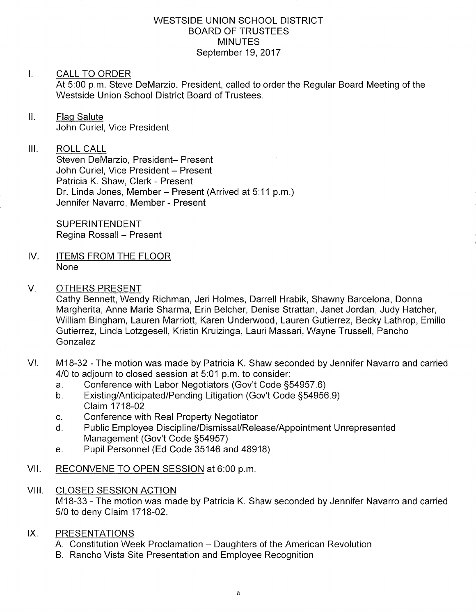### WESTSIDE UNION SCHOOL DISTRICT BOARD OF TRUSTEES **MINUTES** September 19,2017

#### $\mathbf{L}$ CALL TO ORDER

At 5:00 p.m. Steve DeMarzio. President, called to order the Regular Board Meeting of the Westside Union School District Board of Trustees.

ll. Flaq Salute John Curiel, Vice President

### III. ROLL CALL

Steven DeMarzio, President- Present John Curiel, Vice President - Present Patricia K. Shaw, Clerk - Present Dr. Linda Jones, Member - Present (Arrived at 5:11 p.m.) Jennifer Navarro, Member - Present

SUPERINTENDENT Regina Rossall - Present

IV. ITEMS FROM THE FLOOR None

### V. OTHERS PRESENT

Cathy Bennett, Wendy Richman, Jeri Holmes, Darrell Hrabik, Shawny Barcelona, Donna Margherita, Anne Marie Sharma, Erin Belcher, Denise Strattan, Janet Jordan, Judy Hatcher, William Bingham, Lauren Marriott, Karen Underwood, Lauren Gutierrez, Becky Lathrop, Emilio Gutierrez, Linda Lotzgesell, Kristin Kruizinga, Lauri Massari, Wayne Trussell, Pancho Gonzalez

- VI. M18-32 The motion was made by Patricia K. Shaw seconded by Jennifer Navarro and carried 4/0 to adjourn to closed session at 5:01 p.m. to consider:<br>a. Conference with Labor Negotiators (Gov't Code §54957.6)
	-
	- a. Conference with Labor Negotiators (Gov't Code §54957.6)<br>b. Existing/Anticipated/Pending Litigation (Gov't Code §54956.9) Claim 1718-02
	-
	- c. Conference with Real Property Negotiator<br>d. Public Employee Discipline/Dismissal/Release/Appointment Unrepresented Management (Gov't Code §54957)<br>e. Pupil Personnel (Ed Code 35146 and 48918)
	-
- VII. RECONVENE TO OPEN SESSION at 6:00 p.m.

### VIII. CLOSED SESSION ACTION

M18-33 - The motion was made by Patricia K. Shaw seconded by Jennifer Navarro and carried 5/0 to deny Claim 1718-02.

### IX. PRESENTATIONS

- A. Constitution Week Proclamation Daughters of the American Revolution
- B. Rancho Vista Site Presentation and Employee Recognition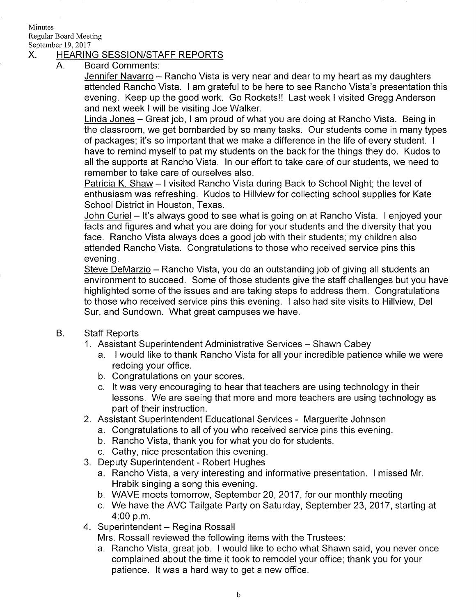## Minutes Regular Board Meeting

# September 19, 2017<br>X. HEARING SESSION/STAFF REPORTS

A. Board Comments:

Jennifer Navarro - Rancho Vista is very near and dear to my heart as my daughters attended Rancho Vista. I am grateful to be here to see Rancho Vista's presentation this evening. Keep up the good work. Go Rocketsll Last week I visited Gregg Anderson and next week I will be visiting Joe Walker.

Linda Jones - Great job, I am proud of what you are doing at Rancho Vista. Being in the classroom, we get bombarded by so many tasks. Our students come in many types of packages; it's so important that we make a difference in the life of every student. <sup>I</sup> have to remind myself to pat my students on the back for the things they do. Kudos to all the supports at Rancho Vista. ln our effort to take care of our students, we need to remember to take care of ourselves also.

Patricia K. Shaw - I visited Rancho Vista during Back to School Night; the level of enthusiasm was refreshing. Kudos to Hillview for collecting school supplies for Kate School District in Houston, Texas.

John Curiel – It's always good to see what is going on at Rancho Vista. I enjoyed your facts and figures and what you are doing for your students and the diversity that you face. Rancho Vista always does a good job with their students; my children also attended Rancho Vista. Congratulations to those who received service pins this evening.

Steve DeMarzio – Rancho Vista, you do an outstanding job of giving all students an environment to succeed. Some of those students give the staff challenges but you have highlighted some of the issues and are taking steps to address them. Congratulations to those who received service pins this evening. I also had site visits to Hillview, Del Sur, and Sundown. What great campuses we have.

- B. **Staff Reports** 
	- 1. Assistant Superintendent Administrative Services Shawn Cabey
		- a. I would like to thank Rancho Vista for all your incredible patience while we were redoing your office.
		- b. Congratulations on your scores.
		- c. lt was very encouraging to hear that teachers are using technology in their lessons. We are seeing that more and more teachers are using technology as part of their instruction.
	- 2. Assistant Superintendent Educational Services Marguerite Johnson
		- a. Congratulations to all of you who received service pins this evening. b. Rancho Vista, thank you for what you do for students.
			-
		- c. Cathy, nice presentation this evening.
	- 3. Deputy Superintendent Robert Hughes
		- a. Rancho Vista, a very interesting and informative presentation. I missed Mr. Hrabik singing a song this evening.
		- b. WAVE meets tomorrow, September 20,2017 , for our monthly meeting
		- c. We have the AVC Tailgate Party on Saturday, September 23, 2017, starting at 4:00 p.m.
	- 4. Superintendent Regina Rossall

Mrs. Rossall reviewed the following items with ihe Trustees:

a. Rancho Vista, great job. I would like to echo what Shawn said, you never once complained about the time it took to remodel your office; thank you for your patience. lt was a hard way to get a new office.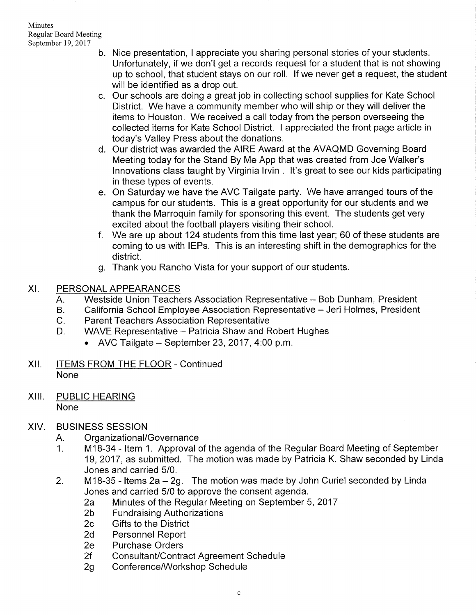- b. Nice presentation, I appreciate you sharing personal stories of your students. Unfortunately, if we don't get a records request for a student that is not showing up to school, that student stays on our roll. lf we never get a request, the student will be identified as a drop out.
- c. Our schools are doing a great job in collecting school supplies for Kate Schoo District. We have a community member who will ship or they will deliver the items to Houston. We received a call today from the person overseeing the collected items for Kate School District. I appreciated the front page article in today's Valley Press about the donations.
- d. Our district was awarded the AIRE Award at the AVAQMD Governing Boarc Meeting today for the Stand By Me App that was created from Joe Walker's lnnovations class taught by Virginia lrvin . lt's great to see our kids parlicipating in these types of events.
- On Saturday we have the AVC Tailgate party. We have arranged tours of the e campus for our students. This is a great opportunity for our students and we thank the Marroquin family for sponsoring this event. The students get very excited about the football players visiting their school.
- We are up about 124 students from this time last year; 60 of these students are f coming to us with lEPs. This is an interesting shift in the demographics for the district.
- g. Thank you Rancho Vista for your support of our students
- XI. PERSONAL APPEARANCES
	-
	- A. Westside Union Teachers Association Representative Bob Dunham, President<br>B. California School Employee Association Representative Jeri Holmes, President<br>C. Parent Teachers Association Representative<br>D. WAVE Represen
	- - - $\bullet$  AVC Tailgate September 23, 2017, 4:00 p.m.
- Xll. ITEMS FROM THE FLOOR Continued None
- XIII. PUBLIC HEARING None

### XIV. BUSINESS SESSION

- 
- A. Organizational/Governance<br>1. M18-34 Item 1. Approval of the agenda of the Regular Board Meeting of September 19,2017, as submitted. The motion was made by Patricia K. Shaw seconded by Linda Jones and carried 5/0.
- 2. M18-35 Items  $2a 2g$ . The motion was made by John Curiel seconded by Linda<br>Jones and carried 5/0 to approve the consent agenda.
	- 2a Minutes of the Regular Meeting on September 5, 2017<br>2b Fundraising Authorizations<br>2c Gifts to the District
	-
	-
	- 2d Personnel Report<br>2e Purchase Orders
	-
	- 2f Consultant/Contract Agreement Schedule<br>2g Conference/Workshop Schedule
	-